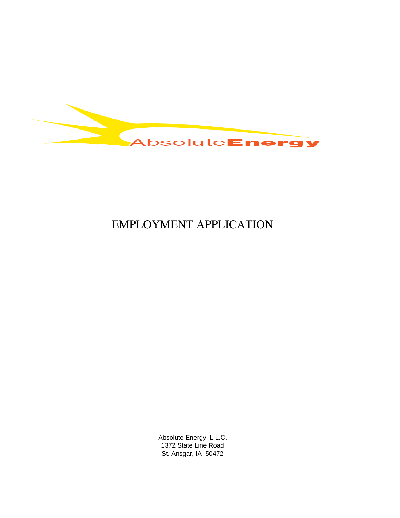

# EMPLOYMENT APPLICATION

Absolute Energy, L.L.C. 1372 State Line Road St. Ansgar, IA 50472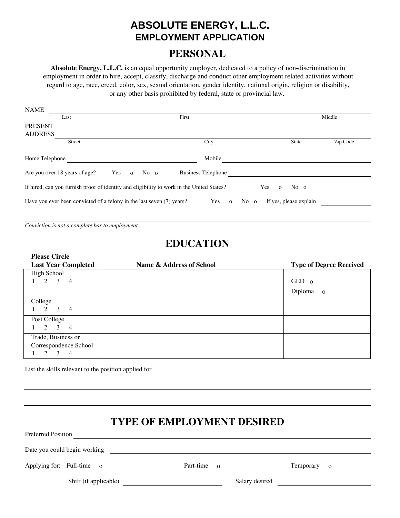## **ABSOLUTE ENERGY, L.L.C. EMPLOYMENT APPLICATION**

### **PERSONAL**

**Absolute Energy, L.L.C.** is an equal opportunity employer, dedicated to a policy of non-discrimination in employment in order to hire, accept, classify, discharge and conduct other employment related activities without regard to age, race, creed, color, sex, sexual orientation, gender identity, national origin, religion or disability, or any other basis prohibited by federal, state or provincial law.

| <b>NAME</b>                                                                                                                 |                                                                       |                 |      |                           |      |                        |          |
|-----------------------------------------------------------------------------------------------------------------------------|-----------------------------------------------------------------------|-----------------|------|---------------------------|------|------------------------|----------|
|                                                                                                                             | Last                                                                  |                 |      | First                     |      |                        | Middle   |
| <b>PRESENT</b><br><b>ADDRESS</b>                                                                                            |                                                                       |                 |      |                           |      |                        |          |
|                                                                                                                             | Street                                                                |                 |      | City                      |      | State                  | Zip Code |
| Home Telephone                                                                                                              |                                                                       |                 |      | Mobile                    |      |                        |          |
|                                                                                                                             | Are you over 18 years of age?                                         | Yes<br>$\Omega$ | No o | <b>Business Telephone</b> |      |                        |          |
| If hired, can you furnish proof of identity and eligibility to work in the United States?<br><b>Yes</b><br>No o<br>$\Omega$ |                                                                       |                 |      |                           |      |                        |          |
|                                                                                                                             | Have you ever been convicted of a felony in the last seven (7) years? |                 |      | Yes<br>$\mathbf{o}$       | No o | If yes, please explain |          |

*Conviction is not a complete bar to employment.*

## **EDUCATION**

| <b>Please Circle</b><br><b>Last Year Completed</b>                      | Name & Address of School | <b>Type of Degree Received</b>     |
|-------------------------------------------------------------------------|--------------------------|------------------------------------|
| High School<br>$2 \quad 3$<br>$\overline{4}$                            |                          | GED 0<br>Diploma<br>$\overline{0}$ |
| College<br>2<br>$\overline{4}$<br>3                                     |                          |                                    |
| Post College<br>2<br>3<br>$\overline{4}$                                |                          |                                    |
| Trade, Business or<br>Correspondence School<br>3<br>$\overline{4}$<br>2 |                          |                                    |

List the skills relevant to the position applied for

## **TYPE OF EMPLOYMENT DESIRED**

| Doto you could begin working |  |
|------------------------------|--|

Date you could begin working

Preferred Position

Applying for: Full-time o **Part-time o** Part-time o **Temporary** o

Shift (if applicable) Salary desired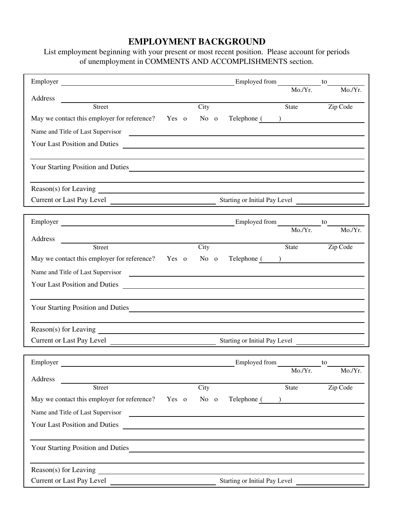### **EMPLOYMENT BACKGROUND**

List employment beginning with your present or most recent position. Please account for periods of unemployment in COMMENTS AND ACCOMPLISHMENTS section.

|                                                                                          |       |                    | Employed from $\frac{1}{\text{Mo./Yr.}}}$ to |              |                                              |
|------------------------------------------------------------------------------------------|-------|--------------------|----------------------------------------------|--------------|----------------------------------------------|
| Address                                                                                  |       |                    |                                              |              | Mo./Yr.                                      |
| <u> 1989 - Johann Harry Harry Barn, mars and deutscher Statistike († 1918)</u><br>Street |       | $\overline{C}$ ity |                                              | State        | Zip Code                                     |
| May we contact this employer for reference? Yes o No o                                   |       |                    | Telephone ( )                                |              |                                              |
| Name and Title of Last Supervisor                                                        |       |                    |                                              |              |                                              |
| Your Last Position and Duties                                                            |       |                    |                                              |              |                                              |
|                                                                                          |       |                    |                                              |              |                                              |
| Your Starting Position and Duties                                                        |       |                    |                                              |              |                                              |
|                                                                                          |       |                    |                                              |              |                                              |
|                                                                                          |       |                    |                                              |              |                                              |
| Current or Last Pay Level Current or Last Pay Level                                      |       |                    |                                              |              |                                              |
|                                                                                          |       |                    |                                              |              | to                                           |
| Employer Employer Employed from Mo./Yr.                                                  |       |                    |                                              |              | Mo/Yr.                                       |
| Address<br><u>Street</u>                                                                 |       | City               |                                              | State        | Zip Code                                     |
| May we contact this employer for reference? Yes o No o                                   |       |                    | Telephone ( )                                |              |                                              |
|                                                                                          |       |                    |                                              |              |                                              |
| Name and Title of Last Supervisor                                                        |       |                    |                                              |              |                                              |
| Your Last Position and Duties                                                            |       |                    |                                              |              |                                              |
| Your Starting Position and Duties                                                        |       |                    |                                              |              |                                              |
|                                                                                          |       |                    |                                              |              |                                              |
|                                                                                          |       |                    |                                              |              |                                              |
| Current or Last Pay Level Current or Last Pay Level                                      |       |                    |                                              |              |                                              |
|                                                                                          |       |                    |                                              |              |                                              |
| Employer Employer Employer Employer                                                      |       |                    |                                              | Mo./Yr.      | to<br><u>and a strong product</u><br>Mo./Yr. |
| Address                                                                                  |       |                    |                                              |              |                                              |
| Street                                                                                   |       | City               |                                              | <b>State</b> | Zip Code                                     |
| May we contact this employer for reference?                                              | Yes o | $No$ 0             | Telephone ( )                                |              |                                              |
| Name and Title of Last Supervisor                                                        |       |                    |                                              |              |                                              |
| Your Last Position and Duties                                                            |       |                    |                                              |              |                                              |
|                                                                                          |       |                    |                                              |              |                                              |
| Your Starting Position and Duties                                                        |       |                    |                                              |              |                                              |
|                                                                                          |       |                    |                                              |              |                                              |
| Current or Last Pay Level                                                                |       |                    | Starting or Initial Pay Level                |              |                                              |
|                                                                                          |       |                    |                                              |              |                                              |